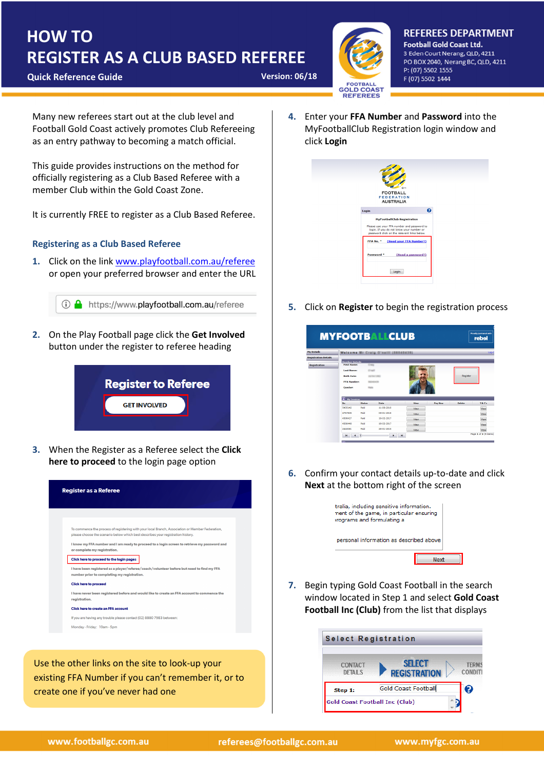## REGISTER AS A CLUB BASED REFEREE HOW TO

**Ouick Reference Guide Version: 06/18** 



**REFEREES DEPARTMENT Football Gold Coast Ltd.** 3 Eden Court Nerang, QLD, 4211 PO BOX 2040, Nerang BC, QLD, 4211 P: (07) 5502 1555 F (07) 5502 1444

Many new referees start out at the club level and Football Gold Coast actively promotes Club Refereeing as an entry pathway to becoming a match official.

This guide provides instructions on the method for officially registering as a Club Based Referee with a member Club within the Gold Coast Zone.

It is currently FREE to register as a Club Based Referee.

## Registering as a Club Based Referee

1. Click on the link www.playfootball.com.au/referee or open your preferred browser and enter the URL

**D** https://www.playfootball.com.au/referee

2. On the Play Football page click the Get Involved button under the register to referee heading



3. When the Register as a Referee select the Click here to proceed to the login page option

| <b>Register as a Referee</b>                                                                                                                                                         |
|--------------------------------------------------------------------------------------------------------------------------------------------------------------------------------------|
|                                                                                                                                                                                      |
| To commence the process of registering with your local Branch, Association or Member Federation,<br>please choose the scenario below which best describes your registration history. |
| I know my FFA number and I am ready to proceed to a login screen to retrieve my password and<br>or complete my registration.                                                         |
| Click here to proceed to the login pages                                                                                                                                             |
| I have been registered as a player/referee/coach/volunteer before but need to find my FFA<br>number prior to completing my registration.                                             |
| <b>Click here to proceed</b>                                                                                                                                                         |
| I have never been registered before and would like to create an FFA account to commence the<br>registration.                                                                         |
| <b>Click here to create an FFA account</b>                                                                                                                                           |
| If you are having any trouble please contact (02) 8880 7983 between:                                                                                                                 |
| Monday - Friday: 10am - 5pm                                                                                                                                                          |

Use the other links on the site to look-up your existing FFA Number if you can't remember it, or to create one if you've never had one

4. Enter your FFA Number and Password into the MyFootballClub Registration login window and click Login

| Q<br>Login<br><b>MyFootballClub Registration</b><br>Please use your FFA number and password to<br>login. If you do not know your number or<br>password click on the relevant links below.<br>(Need your FFA Number?)<br>FFA No. *<br>Password <sup>*</sup><br>(Need a password?) |
|----------------------------------------------------------------------------------------------------------------------------------------------------------------------------------------------------------------------------------------------------------------------------------|
|                                                                                                                                                                                                                                                                                  |
|                                                                                                                                                                                                                                                                                  |
|                                                                                                                                                                                                                                                                                  |
|                                                                                                                                                                                                                                                                                  |
|                                                                                                                                                                                                                                                                                  |

5. Click on **Register** to begin the registration process

 $\frac{m}{Re}$ 

|                             |                         |               | <b>MYFOOTBALLCLUB</b>               |             |                |               | Proudly partnered with<br>rebel |
|-----------------------------|-------------------------|---------------|-------------------------------------|-------------|----------------|---------------|---------------------------------|
| <b>My Details</b>           |                         |               | Welcome Mr Craig O'naill (55040439) |             |                |               | Log-C                           |
| <b>Registration Details</b> |                         |               |                                     |             |                |               |                                 |
|                             | <b>Member Details</b>   |               |                                     |             |                |               |                                 |
| <b>Registration</b>         | <b>First Names</b>      | <b>County</b> |                                     |             |                |               |                                 |
|                             | <b>Last Name:</b>       |               |                                     |             |                |               |                                 |
|                             | <b>Birth Date:</b>      |               | 10/04/1401                          |             |                | Register      |                                 |
|                             | <b>FFA Number:</b>      |               |                                     |             |                |               |                                 |
|                             |                         |               |                                     |             |                |               |                                 |
|                             | Gender                  | <b>Tariff</b> |                                     |             |                |               |                                 |
|                             | Б<br><b>My Invoices</b> |               |                                     |             |                |               |                                 |
|                             | No                      | <b>Status</b> | Date                                | View        | <b>Pay Now</b> | <b>Delete</b> | T&C's                           |
|                             | 5435142                 | Paid          | 11-06-2018                          | Mew         |                |               | View                            |
|                             | 4757505                 | Paid          | 03-01-2018                          | Mew         |                |               | View                            |
|                             | 4308427                 | Paid          | 19-02-2017                          | Mew         |                |               | View                            |
|                             | 4308448                 | Paid          | 19-02-2017                          | <b>View</b> |                |               | View                            |
|                             | 2440081                 | Paid          | 20-01-2015                          | <b>Wew</b>  |                |               | View                            |
|                             | и                       | h             |                                     | H           |                |               | Page 1 of 2 (9 items)           |

6. Confirm your contact details up-to-date and click Next at the bottom right of the screen



7. Begin typing Gold Coast Football in the search window located in Step 1 and select Gold Coast Football Inc (Club) from the list that displays